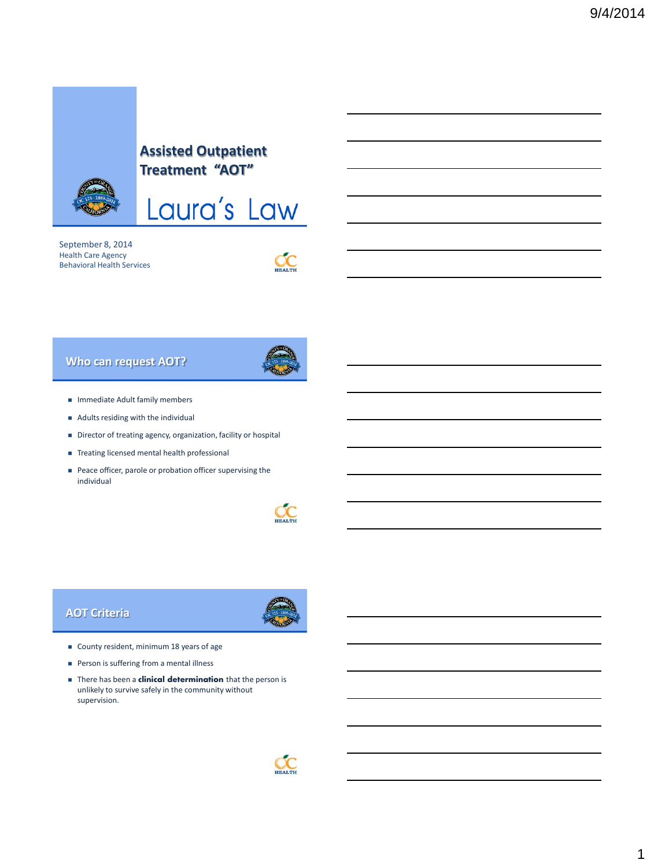

# **Assisted Outpatient Treatment "AOT"**



September 8, 2014 Health Care Agency Behavioral Health Services

 $OC$ 

## **Who can request AOT?**



- $\blacksquare$  Immediate Adult family members
- Adults residing with the individual
- Director of treating agency, organization, facility or hospital
- Treating licensed mental health professional
- Peace officer, parole or probation officer supervising the individual



#### **AOT Criteria**



- County resident, minimum 18 years of age
- **Person is suffering from a mental illness**
- There has been a **clinical determination** that the person is unlikely to survive safely in the community without supervision.

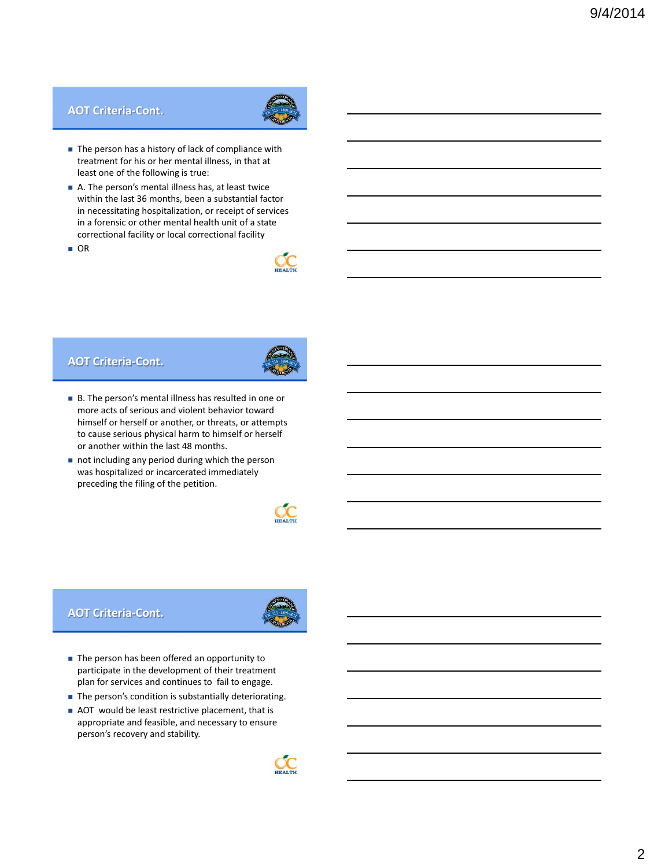#### **AOT Criteria-Cont.**



- The person has a history of lack of compliance with treatment for his or her mental illness, in that at least one of the following is true:
- A. The person's mental illness has, at least twice within the last 36 months, been a substantial factor in necessitating hospitalization, or receipt of services in a forensic or other mental health unit of a state correctional facility or local correctional facility
- OR



#### **AOT Criteria-Cont.**



- B. The person's mental illness has resulted in one or more acts of serious and violent behavior toward himself or herself or another, or threats, or attempts to cause serious physical harm to himself or herself or another within the last 48 months.
- not including any period during which the person was hospitalized or incarcerated immediately preceding the filing of the petition.



#### **AOT Criteria-Cont.**



- The person has been offered an opportunity to participate in the development of their treatment plan for services and continues to fail to engage.
- The person's condition is substantially deteriorating.
- AOT would be least restrictive placement, that is appropriate and feasible, and necessary to ensure person's recovery and stability.

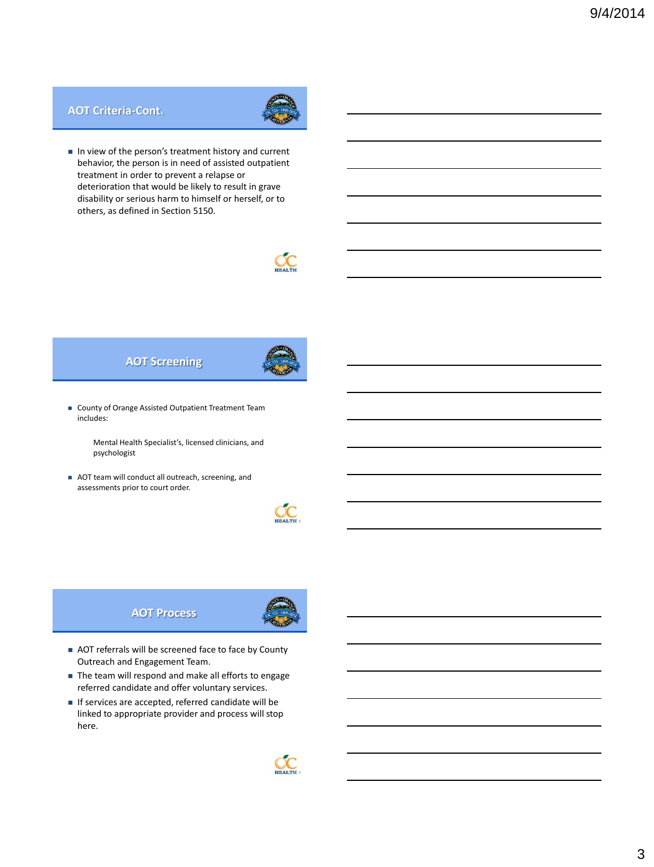#### **AOT Criteria-Cont.**



In view of the person's treatment history and current behavior, the person is in need of assisted outpatient treatment in order to prevent a relapse or deterioration that would be likely to result in grave disability or serious harm to himself or herself, or to others, as defined in Section 5150.



## **AOT Screening**



 County of Orange Assisted Outpatient Treatment Team includes:

> Mental Health Specialist's, licensed clinicians, and psychologist

AOT team will conduct all outreach, screening, and assessments prior to court order.



**AOT Process**



- AOT referrals will be screened face to face by County Outreach and Engagement Team.
- The team will respond and make all efforts to engage referred candidate and offer voluntary services.
- If services are accepted, referred candidate will be linked to appropriate provider and process will stop here.

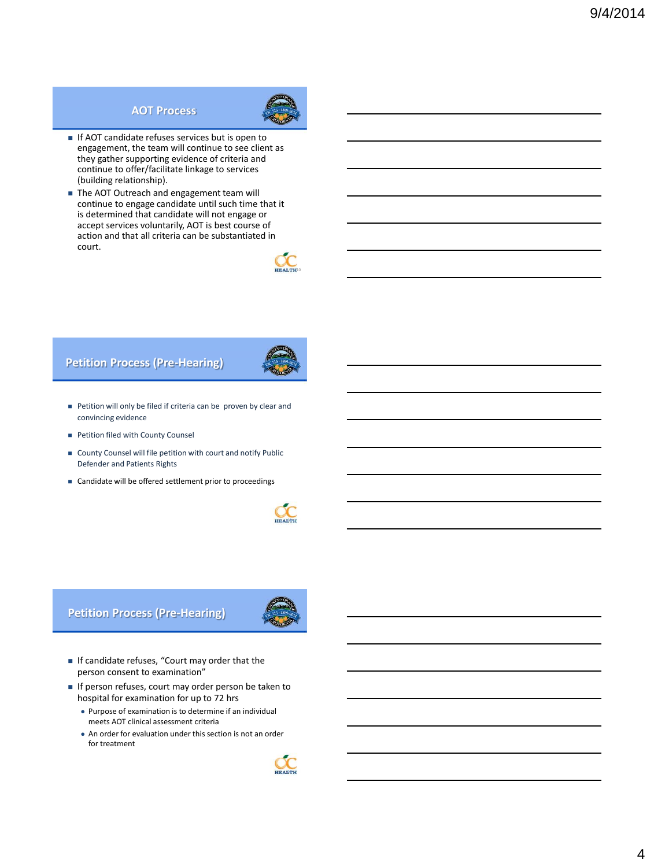#### **AOT Process**



- If AOT candidate refuses services but is open to engagement, the team will continue to see client as they gather supporting evidence of criteria and continue to offer/facilitate linkage to services (building relationship).
- The AOT Outreach and engagement team will continue to engage candidate until such time that it is determined that candidate will not engage or accept services voluntarily, AOT is best course of action and that all criteria can be substantiated in court.



## **Petition Process (Pre-Hearing)**



- **Petition will only be filed if criteria can be proven by clear and** convincing evidence
- **Petition filed with County Counsel**
- County Counsel will file petition with court and notify Public Defender and Patients Rights
- Candidate will be offered settlement prior to proceedings



**Petition Process (Pre-Hearing)**



- If candidate refuses, "Court may order that the person consent to examination"
- If person refuses, court may order person be taken to hospital for examination for up to 72 hrs
	- Purpose of examination is to determine if an individual meets AOT clinical assessment criteria
	- An order for evaluation under this section is not an order for treatment

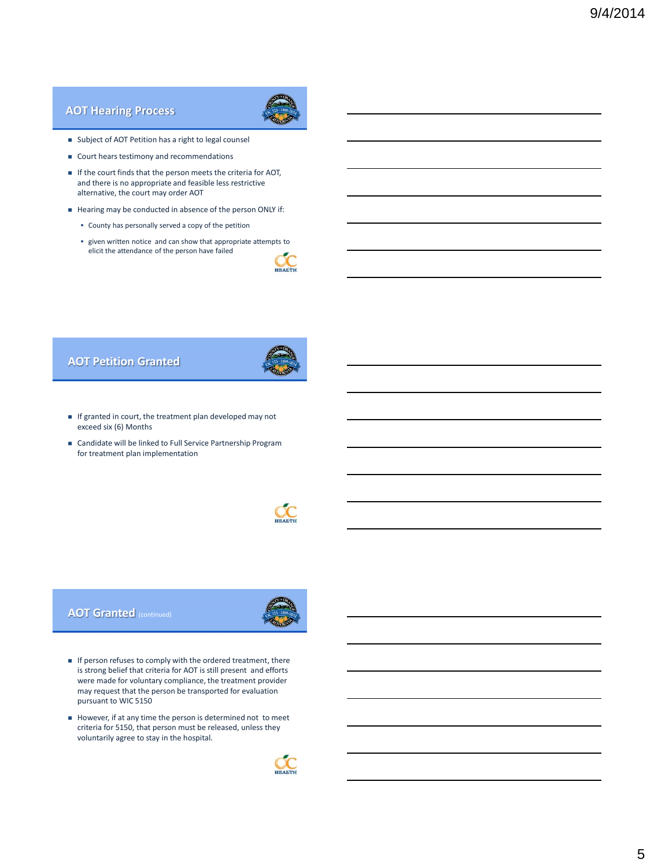## **AOT Hearing Process**



- Subject of AOT Petition has a right to legal counsel
- Court hears testimony and recommendations
- If the court finds that the person meets the criteria for AOT, and there is no appropriate and feasible less restrictive alternative, the court may order AOT
- Hearing may be conducted in absence of the person ONLY if:
	- County has personally served a copy of the petition
	- given written notice and can show that appropriate attempts to elicit the attendance of the person have failed



## **AOT Petition Granted**



- $\blacksquare$  If granted in court, the treatment plan developed may not exceed six (6) Months
- Candidate will be linked to Full Service Partnership Program for treatment plan implementation



#### **AOT Granted** (continued)



- $\blacksquare$  If person refuses to comply with the ordered treatment, there is strong belief that criteria for AOT is still present and efforts were made for voluntary compliance, the treatment provider may request that the person be transported for evaluation pursuant to WIC 5150
- However, if at any time the person is determined not to meet criteria for 5150, that person must be released, unless they voluntarily agree to stay in the hospital.

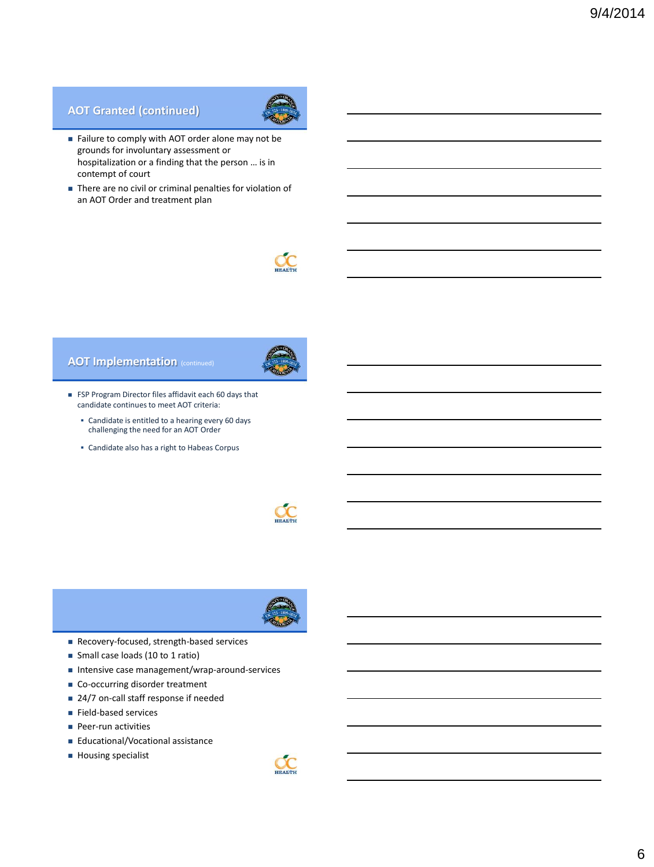## **AOT Granted (continued)**



- Failure to comply with AOT order alone may not be grounds for involuntary assessment or hospitalization or a finding that the person … is in contempt of court
- There are no civil or criminal penalties for violation of an AOT Order and treatment plan



## **AOT Implementation** (continued)



- FSP Program Director files affidavit each 60 days that candidate continues to meet AOT criteria:
	- Candidate is entitled to a hearing every 60 days challenging the need for an AOT Order
	- Candidate also has a right to Habeas Corpus





- Recovery-focused, strength-based services
- Small case loads (10 to 1 ratio)
- Intensive case management/wrap-around-services
- Co-occurring disorder treatment
- 24/7 on-call staff response if needed
- Field-based services
- **Peer-run activities**
- Educational/Vocational assistance
- **Housing specialist**

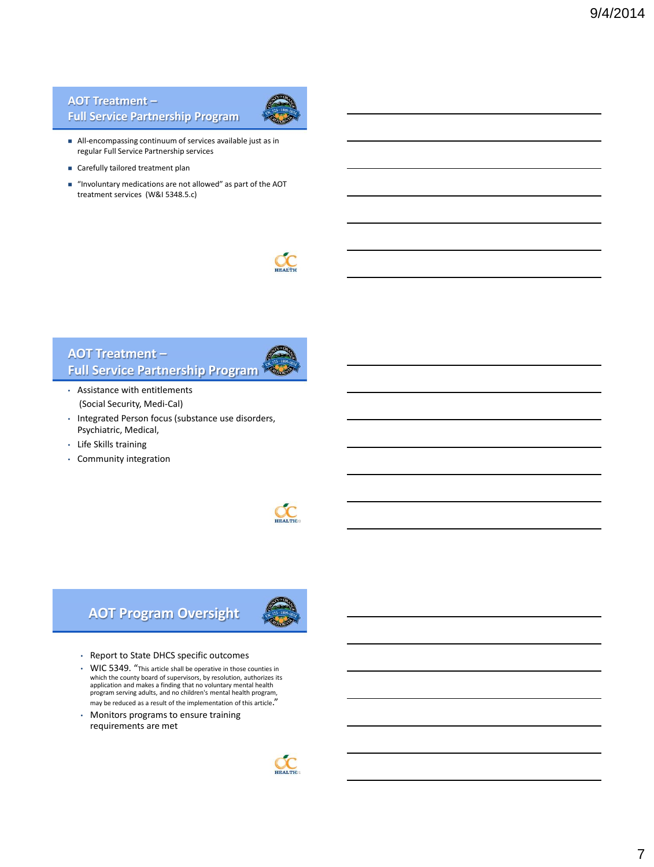## **AOT Treatment – Full Service Partnership Program**



- All-encompassing continuum of services available just as in regular Full Service Partnership services
- Carefully tailored treatment plan
- "Involuntary medications are not allowed" as part of the AOT treatment services (W&I 5348.5.c)



## **AOT Treatment – Full Service Partnership Program**

- Assistance with entitlements (Social Security, Medi-Cal)
- Integrated Person focus (substance use disorders, Psychiatric, Medical,
- Life Skills training
- Community integration



# **AOT Program Oversight**



- Report to State DHCS specific outcomes
- WIC 5349. "This article shall be operative in those counties in which the county board of supervisors, by resolution, authorizes its application and makes a finding that no voluntary mental health program serving adults, and no children's mental health program, may be reduced as a result of the implementation of this article."
- Monitors programs to ensure training requirements are met

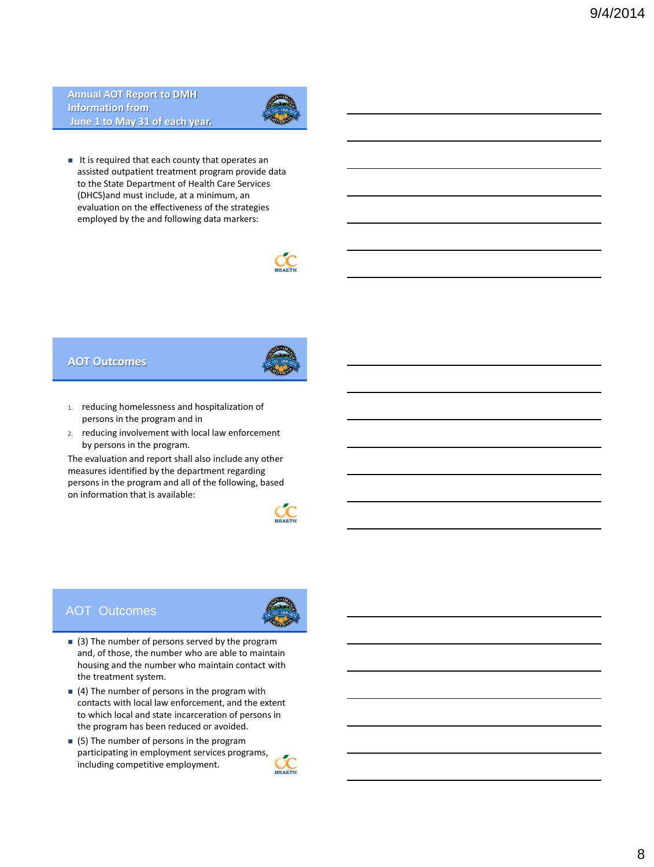**Annual AOT Report to DMH Information from June 1 to May 31 of each year.**



 $\blacksquare$  It is required that each county that operates an assisted outpatient treatment program provide data to the State Department of Health Care Services (DHCS)and must include, at a minimum, an evaluation on the effectiveness of the strategies employed by the and following data markers:



#### **AOT Outcomes**



- 1. reducing homelessness and hospitalization of persons in the program and in
- 2. reducing involvement with local law enforcement by persons in the program.

The evaluation and report shall also include any other measures identified by the department regarding persons in the program and all of the following, based on information that is available:



#### AOT Outcomes



- $(3)$  The number of persons served by the program and, of those, the number who are able to maintain housing and the number who maintain contact with the treatment system.
- $(4)$  The number of persons in the program with contacts with local law enforcement, and the extent to which local and state incarceration of persons in the program has been reduced or avoided.
- (5) The number of persons in the program participating in employment services programs, including competitive employment.